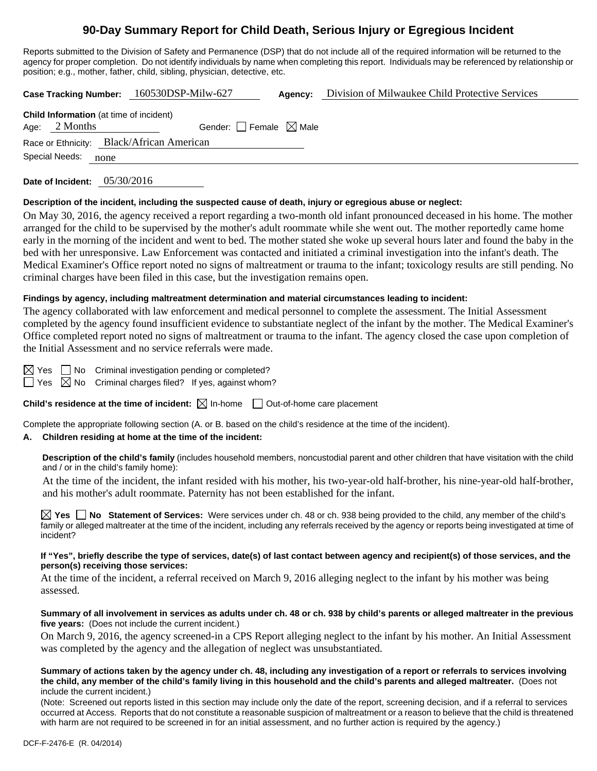# **90-Day Summary Report for Child Death, Serious Injury or Egregious Incident**

Reports submitted to the Division of Safety and Permanence (DSP) that do not include all of the required information will be returned to the agency for proper completion. Do not identify individuals by name when completing this report. Individuals may be referenced by relationship or position; e.g., mother, father, child, sibling, physician, detective, etc.

**Case Tracking Number:** 160530DSP-Milw-627 **Agency:** Division of Milwaukee Child Protective Services

| Age: $2$ Months        |                                           |  |
|------------------------|-------------------------------------------|--|
|                        | Gender: Female $\boxtimes$ Male           |  |
|                        | Race or Ethnicity: Black/African American |  |
| Special Needs:<br>none |                                           |  |

**Date of Incident:** 05/30/2016

### **Description of the incident, including the suspected cause of death, injury or egregious abuse or neglect:**

On May 30, 2016, the agency received a report regarding a two-month old infant pronounced deceased in his home. The mother arranged for the child to be supervised by the mother's adult roommate while she went out. The mother reportedly came home early in the morning of the incident and went to bed. The mother stated she woke up several hours later and found the baby in the bed with her unresponsive. Law Enforcement was contacted and initiated a criminal investigation into the infant's death. The Medical Examiner's Office report noted no signs of maltreatment or trauma to the infant; toxicology results are still pending. No criminal charges have been filed in this case, but the investigation remains open.

### **Findings by agency, including maltreatment determination and material circumstances leading to incident:**

The agency collaborated with law enforcement and medical personnel to complete the assessment. The Initial Assessment completed by the agency found insufficient evidence to substantiate neglect of the infant by the mother. The Medical Examiner's Office completed report noted no signs of maltreatment or trauma to the infant. The agency closed the case upon completion of the Initial Assessment and no service referrals were made.

 $\boxtimes$  Yes  $\Box$  No Criminal investigation pending or completed?

 $\Box$  Yes  $\boxtimes$  No Criminal charges filed? If yes, against whom?

**Child's residence at the time of incident:**  $\boxtimes$  In-home  $\Box$  Out-of-home care placement

Complete the appropriate following section (A. or B. based on the child's residence at the time of the incident).

### **A. Children residing at home at the time of the incident:**

**Description of the child's family** (includes household members, noncustodial parent and other children that have visitation with the child and / or in the child's family home):

 At the time of the incident, the infant resided with his mother, his two-year-old half-brother, his nine-year-old half-brother, and his mother's adult roommate. Paternity has not been established for the infant.

**Yes No Statement of Services:** Were services under ch. 48 or ch. 938 being provided to the child, any member of the child's family or alleged maltreater at the time of the incident, including any referrals received by the agency or reports being investigated at time of incident?

### **If "Yes", briefly describe the type of services, date(s) of last contact between agency and recipient(s) of those services, and the person(s) receiving those services:**

At the time of the incident, a referral received on March 9, 2016 alleging neglect to the infant by his mother was being assessed.

#### **Summary of all involvement in services as adults under ch. 48 or ch. 938 by child's parents or alleged maltreater in the previous five years:** (Does not include the current incident.)

On March 9, 2016, the agency screened-in a CPS Report alleging neglect to the infant by his mother. An Initial Assessment was completed by the agency and the allegation of neglect was unsubstantiated.

#### **Summary of actions taken by the agency under ch. 48, including any investigation of a report or referrals to services involving the child, any member of the child's family living in this household and the child's parents and alleged maltreater.** (Does not include the current incident.)

(Note: Screened out reports listed in this section may include only the date of the report, screening decision, and if a referral to services occurred at Access. Reports that do not constitute a reasonable suspicion of maltreatment or a reason to believe that the child is threatened with harm are not required to be screened in for an initial assessment, and no further action is required by the agency.)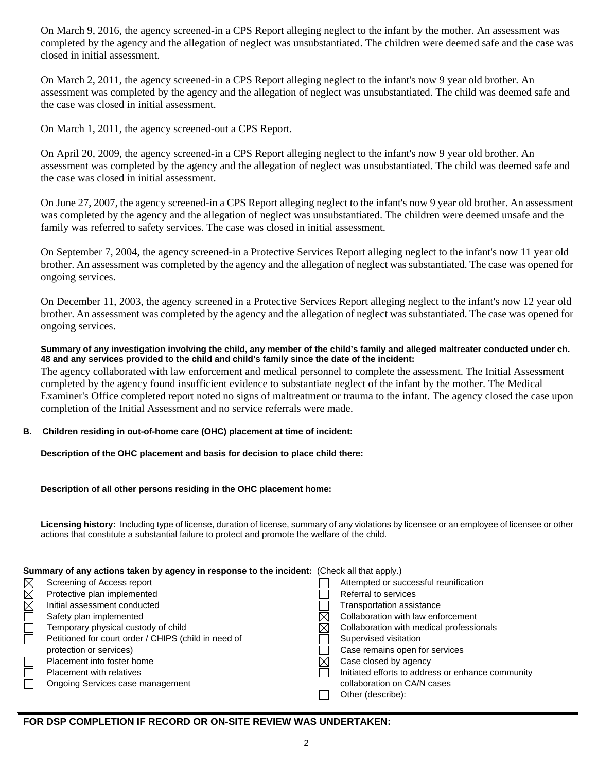On March 9, 2016, the agency screened-in a CPS Report alleging neglect to the infant by the mother. An assessment was completed by the agency and the allegation of neglect was unsubstantiated. The children were deemed safe and the case was closed in initial assessment.

On March 2, 2011, the agency screened-in a CPS Report alleging neglect to the infant's now 9 year old brother. An assessment was completed by the agency and the allegation of neglect was unsubstantiated. The child was deemed safe and the case was closed in initial assessment.

On March 1, 2011, the agency screened-out a CPS Report.

On April 20, 2009, the agency screened-in a CPS Report alleging neglect to the infant's now 9 year old brother. An assessment was completed by the agency and the allegation of neglect was unsubstantiated. The child was deemed safe and the case was closed in initial assessment.

On June 27, 2007, the agency screened-in a CPS Report alleging neglect to the infant's now 9 year old brother. An assessment was completed by the agency and the allegation of neglect was unsubstantiated. The children were deemed unsafe and the family was referred to safety services. The case was closed in initial assessment.

On September 7, 2004, the agency screened-in a Protective Services Report alleging neglect to the infant's now 11 year old brother. An assessment was completed by the agency and the allegation of neglect was substantiated. The case was opened for ongoing services.

On December 11, 2003, the agency screened in a Protective Services Report alleging neglect to the infant's now 12 year old brother. An assessment was completed by the agency and the allegation of neglect was substantiated. The case was opened for ongoing services.

### **Summary of any investigation involving the child, any member of the child's family and alleged maltreater conducted under ch. 48 and any services provided to the child and child's family since the date of the incident:**

The agency collaborated with law enforcement and medical personnel to complete the assessment. The Initial Assessment completed by the agency found insufficient evidence to substantiate neglect of the infant by the mother. The Medical Examiner's Office completed report noted no signs of maltreatment or trauma to the infant. The agency closed the case upon completion of the Initial Assessment and no service referrals were made.

# **B. Children residing in out-of-home care (OHC) placement at time of incident:**

**Description of the OHC placement and basis for decision to place child there:** 

# **Description of all other persons residing in the OHC placement home:**

**Licensing history:** Including type of license, duration of license, summary of any violations by licensee or an employee of licensee or other actions that constitute a substantial failure to protect and promote the welfare of the child.

# **Summary of any actions taken by agency in response to the incident:** (Check all that apply.)

|                  | Screening of Access report                           | Attempted or successful reunification             |
|------------------|------------------------------------------------------|---------------------------------------------------|
| <b>NAMELLINE</b> | Protective plan implemented                          | Referral to services                              |
|                  | Initial assessment conducted                         | <b>Transportation assistance</b>                  |
|                  | Safety plan implemented                              | Collaboration with law enforcement                |
|                  | Temporary physical custody of child                  | Collaboration with medical professionals          |
|                  | Petitioned for court order / CHIPS (child in need of | Supervised visitation                             |
|                  | protection or services)                              | Case remains open for services                    |
|                  | Placement into foster home                           | Case closed by agency                             |
| $\Box$           | <b>Placement with relatives</b>                      | Initiated efforts to address or enhance community |
|                  | Ongoing Services case management                     | collaboration on CA/N cases                       |
|                  |                                                      | Other (describe):                                 |
|                  |                                                      |                                                   |

# **FOR DSP COMPLETION IF RECORD OR ON-SITE REVIEW WAS UNDERTAKEN:**